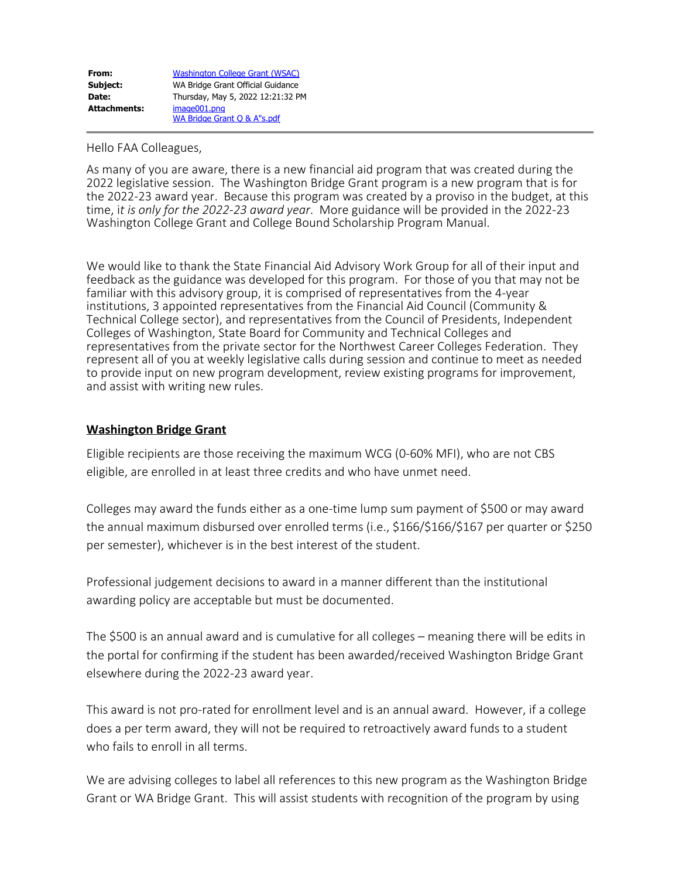| From:        | <b>Washington College Grant (WSAC)</b> |
|--------------|----------------------------------------|
| Subject:     | WA Bridge Grant Official Guidance      |
| Date:        | Thursday, May 5, 2022 12:21:32 PM      |
| Attachments: | image001.png                           |
|              | WA Bridge Grant Q & A"s.pdf            |

Hello FAA Colleagues,

As many of you are aware, there is a new financial aid program that was created during the 2022 legislative session. The Washington Bridge Grant program is a new program that is for the 2022-23 award year. Because this program was created by a proviso in the budget, at this time, i*t is only for the 2022-23 award year*. More guidance will be provided in the 2022-23 Washington College Grant and College Bound Scholarship Program Manual.

We would like to thank the State Financial Aid Advisory Work Group for all of their input and feedback as the guidance was developed for this program. For those of you that may not be familiar with this advisory group, it is comprised of representatives from the 4-year institutions, 3 appointed representatives from the Financial Aid Council (Community & Technical College sector), and representatives from the Council of Presidents, Independent Colleges of Washington, State Board for Community and Technical Colleges and representatives from the private sector for the Northwest Career Colleges Federation. They represent all of you at weekly legislative calls during session and continue to meet as needed to provide input on new program development, review existing programs for improvement, and assist with writing new rules.

## **Washington Bridge Grant**

Eligible recipients are those receiving the maximum WCG (0-60% MFI), who are not CBS eligible, are enrolled in at least three credits and who have unmet need.

Colleges may award the funds either as a one-time lump sum payment of \$500 or may award the annual maximum disbursed over enrolled terms (i.e., \$166/\$166/\$167 per quarter or \$250 per semester), whichever is in the best interest of the student.

Professional judgement decisions to award in a manner different than the institutional awarding policy are acceptable but must be documented.

The \$500 is an annual award and is cumulative for all colleges – meaning there will be edits in the portal for confirming if the student has been awarded/received Washington Bridge Grant elsewhere during the 2022-23 award year.

This award is not pro-rated for enrollment level and is an annual award. However, if a college does a per term award, they will not be required to retroactively award funds to a student who fails to enroll in all terms.

We are advising colleges to label all references to this new program as the Washington Bridge Grant or WA Bridge Grant. This will assist students with recognition of the program by using